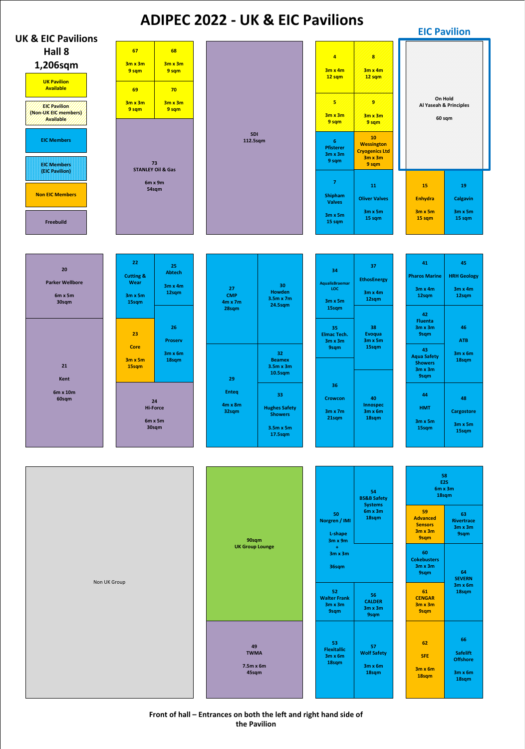**Front of hall – Entrances on both the left and right hand side of the Pavilion**





| 20<br><b>Parker Wellbore</b><br>$6m \times 5m$<br>30sqm | 22<br><b>Cutting &amp;</b><br><b>Wear</b><br>$3m \times 5m$<br>15sqm | 25<br><b>Abtech</b><br>$3m \times 4m$<br>12sqm   | 27<br><b>CMP</b><br>$4m \times 7m$<br>28sqm   | 30<br><b>Howden</b><br>3.5m x 7m<br><b>24.5sqm</b>                                              | 34<br><b>AqualisBraemar</b><br>LOC<br>$3m \times 5m$<br>15sqm             | 37<br><b>EthosEnergy</b><br>$3m \times 4m$<br>12sqm                                                                                                          | 41<br><b>Pharos Marine</b><br>$3m \times 4m$<br>12sqm                                        | 45<br><b>HRH Geology</b><br>$3m \times 4m$<br>12sqm                 |
|---------------------------------------------------------|----------------------------------------------------------------------|--------------------------------------------------|-----------------------------------------------|-------------------------------------------------------------------------------------------------|---------------------------------------------------------------------------|--------------------------------------------------------------------------------------------------------------------------------------------------------------|----------------------------------------------------------------------------------------------|---------------------------------------------------------------------|
| 21                                                      | 23<br><b>Core</b><br>$3m \times 5m$<br>15sqm                         | 26<br><b>Proserv</b><br>$3m \times 6m$<br>18sqm  |                                               | 32 <sub>2</sub><br><b>Beamex</b><br>$3.5m \times 3m$                                            | 35<br><b>Elmac Tech.</b><br>$3m \times 3m$<br>9sqm                        | 38<br><b>Evoqua</b><br>$3m \times 5m$<br>15sqm                                                                                                               | 42<br><b>Fluenta</b><br>$3m \times 3m$<br>9sqm<br>43<br><b>Aqua Safety</b><br><b>Showers</b> | 46<br><b>ATB</b><br>$3m \times 6m$<br>18sqm                         |
| Kent<br>6m x 10m<br>60sqm                               |                                                                      | 24<br><b>Hi-Force</b><br>$6m \times 5m$<br>30sqm | 29<br><b>Enteq</b><br>$4m \times 8m$<br>32sqm | 10.5sqm<br>33<br><b>Hughes Safety</b><br><b>Showers</b><br>3.5m x 5m<br>17.5sqm                 | 36<br><b>Crowcon</b><br>$3m \times 7m$<br>21sqm                           | 40<br><b>Innospec</b><br>$3m \times 6m$<br>18sqm                                                                                                             | $3m \times 3m$<br>9sqm<br>44<br><b>HMT</b><br>$3m \times 5m$<br>15sqm                        | 48<br><b>Cargostore</b><br>$3m \times 5m$<br>15sqm                  |
| Non UK Group                                            |                                                                      | 90sqm<br><b>UK Group Lounge</b>                  |                                               | 50<br>Norgren / IMI<br>L-shape                                                                  | 54<br><b>BS&amp;B Safety</b><br><b>Systems</b><br>$6m \times 3m$<br>18sqm | 58<br>E <sub>2</sub> S<br>$6m \times 3m$<br>18sqm<br>59<br>63<br><b>Advanced</b><br>Rivertrace<br><b>Sensors</b><br>$3m \times 3m$<br>$3m \times 3m$<br>9sqm |                                                                                              |                                                                     |
|                                                         |                                                                      |                                                  |                                               | $3m \times 9m$<br>$+$<br>$3m \times 3m$<br>36sqm<br>52<br><b>Walter Frank</b><br>$3m \times 3m$ | 56<br><b>CALDER</b>                                                       | <b>9sqm</b><br>60<br><b>Cokebusters</b><br>$3m \times 3m$<br><b>9sqm</b><br>61<br><b>CENGAR</b><br>$3m \times 3m$                                            | 64<br><b>SEVERN</b><br>$3m \times 6m$<br>18sqm                                               |                                                                     |
|                                                         |                                                                      |                                                  | 49<br><b>TWMA</b><br>7.5m x 6m<br>45sqm       |                                                                                                 | 9sqm<br>53<br><b>Flexitallic</b><br>$3m \times 6m$<br>18sqm               | $3m \times 3m$<br><b>9sqm</b><br>57<br><b>Wolf Safety</b><br>$3m \times 6m$<br>18sqm                                                                         | <b>9sqm</b><br>62<br><b>SFE</b><br>$3m \times 6m$<br>18sqm                                   | 66<br><b>Safelift</b><br><b>Offshore</b><br>$3m \times 6m$<br>18sqm |





## **ADIPEC 2022 - UK & EIC Pavilions**